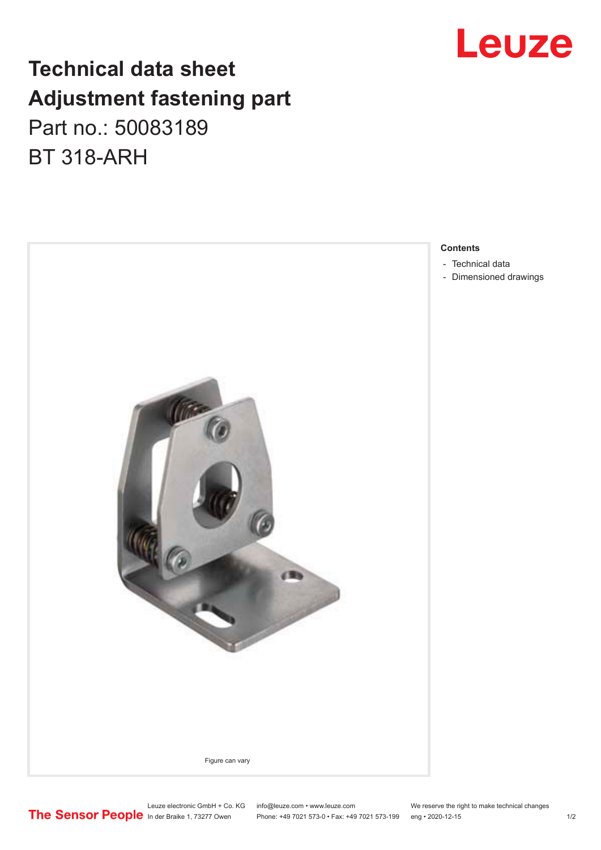## **Technical data sheet Adjustment fastening part**

## Part no.: 50083189 BT 318-ARH



# Leuze

**Contents**

- [Technical data](#page-1-0)
- [Dimensioned drawings](#page-1-0)

Leuze electronic GmbH + Co. KG info@leuze.com • www.leuze.com We reserve the right to make technical changes<br>
The Sensor People in der Braike 1, 73277 Owen Phone: +49 7021 573-0 • Fax: +49 7021 573-199 eng • 2020-12-15

Phone: +49 7021 573-0 • Fax: +49 7021 573-199 eng • 2020-12-15